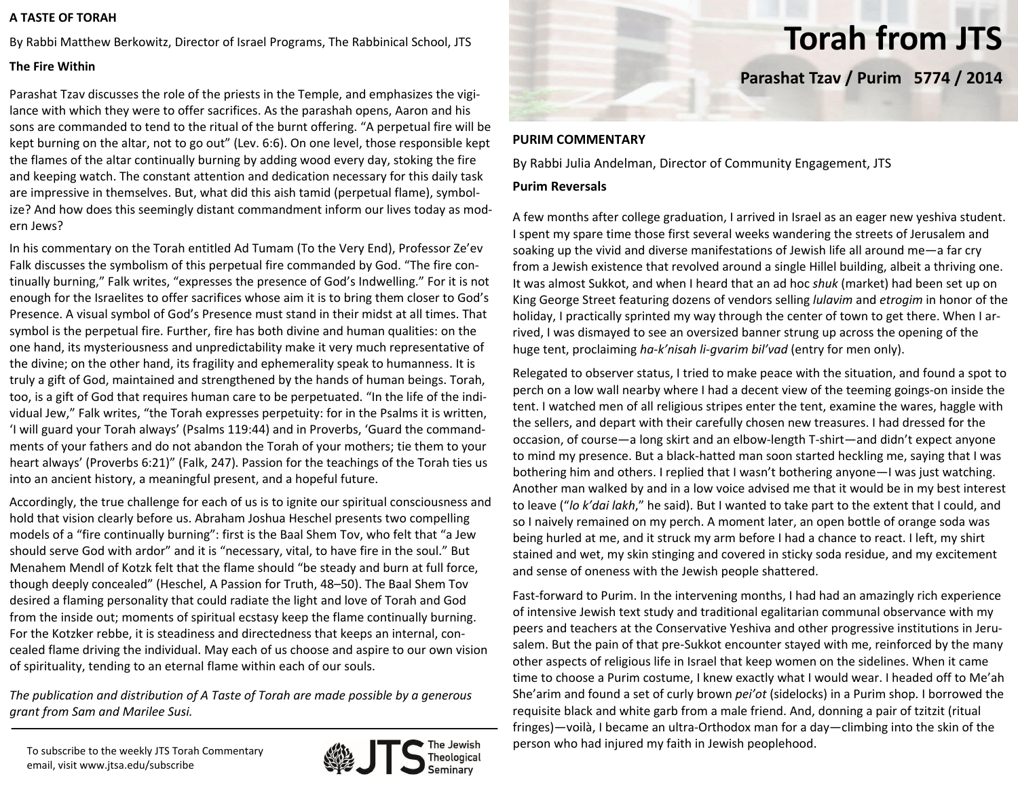## **A TASTE OF TORAH**

By Rabbi Matthew Berkowitz, Director of Israel Programs, The Rabbinical School, JTS

## **The Fire Within**

Parashat Tzav discusses the role of the priests in the Temple, and emphasizes the vigi‐ lance with which they were to offer sacrifices. As the parashah opens, Aaron and his sons are commanded to tend to the ritual of the burnt offering. "A perpetual fire will be kept burning on the altar, not to go out" (Lev. 6:6). On one level, those responsible kept the flames of the altar continually burning by adding wood every day, stoking the fire and keeping watch. The constant attention and dedication necessary for this daily task are impressive in themselves. But, what did this aish tamid (perpetual flame), symbol‐ ize? And how does this seemingly distant commandment inform our lives today as mod‐ ern Jews?

In his commentary on the Torah entitled Ad Tumam (To the Very End), Professor Ze'ev Falk discusses the symbolism of this perpetual fire commanded by God. "The fire con‐ tinually burning," Falk writes, "expresses the presence of God's Indwelling." For it is not enough for the Israelites to offer sacrifices whose aim it is to bring the m closer to God's Presence. A visual symbol of God's Presence must stand in their midst at all times. That symbol is the perpetual fire. Further, fire has both divine and human qualities: on the one hand, its mysteriousness and unpredictability make it very much representative of the divine; on the other hand, its fragility and ephemerality speak to humanness. It is truly <sup>a</sup> gift of God, maintained and strengthened by the hands of human beings. Torah, too, is <sup>a</sup> gift of God that requires human care to be perpetuated. "In the life of the indi‐ vidual Jew," Falk writes, "the Torah expresses perpetuity: for in the Psalms it is written, 'I will guard your Torah always' (Psalms 119:44) and in Proverbs, 'Guard the command‐ ments of your fathers and do not abandon the Torah of your mothers; tie them to your heart always' (Proverbs 6:21)" (Falk, 247). Passion for the teachings of the Torah ties us into an ancient history, <sup>a</sup> meaningful present, and <sup>a</sup> hopeful future.

Accordingly, the true challenge for each of us is to ignite our spiritual consciousness and hold that vision clearly before us. Abraham Joshua Heschel presents two compelling models of <sup>a</sup> "fire continually burning": first is the Baal Shem Tov, who felt that "a Jew should serve God with ardor" and it is "necessary, vital, to have fire in the soul." But Menahem Mendl of Kotzk felt that the flame should "be steady and burn at full force, though deeply concealed" (Heschel, A Passion for Truth, 48–50). The Baal Shem Tov desired <sup>a</sup> flaming personality that could radiate the light and love of Torah and God from the inside out; moments of spiritual ecstasy keep the flame continually burning. For the Kotzker rebbe, it is steadiness and directedness that keeps an internal, con‐ cealed flame driving the individual. May each of us choose and aspire to our own vision of spirituality, tending to an eternal flame within each of our souls.

*The publication and distribution of A Taste of Torah are made possible by a generous grant from Sam and Marilee Susi.*



**Torah from JTS**

**Parashat Tzav / Purim 5774 / 2014**

## **PURIM COMMENTARY**

By Rabbi Julia Andelman, Director of Community Engagement, JTS

## **Purim Reversals**

A few months after college graduation, I arrived in Israel as an eager new yeshiva student. spent my spare time those first several weeks wandering the streets of Jerusalem and soaking up the vivid and diverse manifestations of Jewish life all around me—a far cry from <sup>a</sup> Jewish existence that revolved around <sup>a</sup> single Hillel building, albeit <sup>a</sup> thriving one. It was almost Sukkot, and when I heard that an ad hoc *shuk* (market) had been set up on King George Street featuring dozens of vendors selling *lulavim* and *etrogim* in honor of the holiday, I practically sprinted my way through the center of town to get there. When I arrived, I was dismayed to see an oversized banner strung up across the opening of the huge tent, proclaiming *ha‐k'nisah li‐gvarim bil'vad* (entry for men only).

Relegated to observer status, I tried to make peace with the situation, and found <sup>a</sup> spot to perch on <sup>a</sup> low wall nearby where I had <sup>a</sup> decent view of the teeming goings‐on inside the tent. I watched men of all religious stripes enter the tent, examine the wares, haggle with the sellers, and depart with their carefully chosen new treasures. I had dressed for the occasion, of course—a long skirt and an elbow‐length T‐shirt—and didn't expect anyone to mind my presence. But <sup>a</sup> black‐hatted man soon started heckling me, saying that I was bothering him and others. I replied that I wasn't bothering anyone—I was just watching. Another man walked by and in <sup>a</sup> low voice advised me that it would be in my best interest to leave ("*lo k'dai lakh*," he said). But I wanted to take part to the extent that I could, and so I naively remained on my perch. A moment later, an open bottle of orange soda was being hurled at me, and it struck my arm before I had <sup>a</sup> chance to react. I left, my shirt stained and wet, my skin stinging and covered in sticky soda residue, and my excitement and sense of oneness with the Jewish people shattered.

Fast‐forward to Purim. In the intervening months, I had had an amazingly rich experience of intensive Jewish text study and traditional egalitarian communal observance with my peers and teachers at the Conservative Yeshiva and other progressive institutions in Jeru‐ salem. But the pain of that pre‐Sukkot encounter stayed with me, reinforced by the many other aspects of religious life in Israel that keep women on the sidelines. When it came time to choose <sup>a</sup> Purim costume, I knew exactly what I would wear. I headed off to Me'ah She'arim and found <sup>a</sup> set of curly brown *pei'ot* (sidelocks) in <sup>a</sup> Purim shop. I borrowed the requisite black and white garb from <sup>a</sup> male friend. And, donning <sup>a</sup> pair of tzitzit (ritual fringes)—voilà, I became an ultra‐Orthodox man for <sup>a</sup> day—climbing into the skin of the person who had injured my faith in Jewish peoplehood.

To subscribe to the weekly JTS Torah Commentary email, visit www.jtsa.edu/subscribe